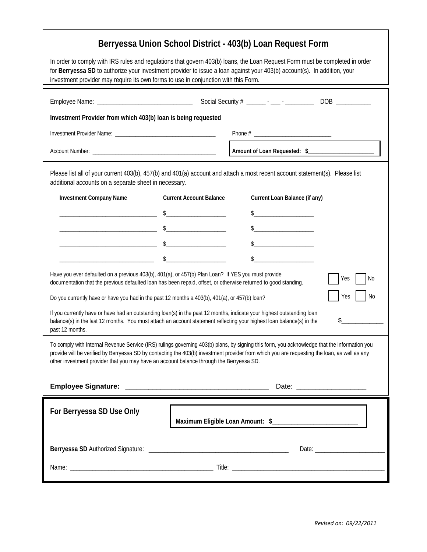| Berryessa Union School District - 403(b) Loan Request Form                                                                                                                                                                                                                                                                                                                               |                                                                                         |
|------------------------------------------------------------------------------------------------------------------------------------------------------------------------------------------------------------------------------------------------------------------------------------------------------------------------------------------------------------------------------------------|-----------------------------------------------------------------------------------------|
| In order to comply with IRS rules and regulations that govern 403(b) loans, the Loan Request Form must be completed in order<br>for Berryessa SD to authorize your investment provider to issue a loan against your 403(b) account(s). In addition, your<br>investment provider may require its own forms to use in conjunction with this Form.                                          |                                                                                         |
|                                                                                                                                                                                                                                                                                                                                                                                          |                                                                                         |
| Investment Provider from which 403(b) loan is being requested                                                                                                                                                                                                                                                                                                                            |                                                                                         |
|                                                                                                                                                                                                                                                                                                                                                                                          |                                                                                         |
|                                                                                                                                                                                                                                                                                                                                                                                          | Amount of Loan Requested: \$                                                            |
| Please list all of your current 403(b), 457(b) and 401(a) account and attach a most recent account statement(s). Please list<br>additional accounts on a separate sheet in necessary.                                                                                                                                                                                                    |                                                                                         |
|                                                                                                                                                                                                                                                                                                                                                                                          | <b>Investment Company Name</b> Current Account Balance<br>Current Loan Balance (if any) |
|                                                                                                                                                                                                                                                                                                                                                                                          | $\frac{1}{2}$<br>$\sim$ $\sim$                                                          |
|                                                                                                                                                                                                                                                                                                                                                                                          |                                                                                         |
|                                                                                                                                                                                                                                                                                                                                                                                          | $\frac{1}{2}$                                                                           |
|                                                                                                                                                                                                                                                                                                                                                                                          | $\sim$<br>$\frac{1}{2}$                                                                 |
| Have you ever defaulted on a previous 403(b), 401(a), or 457(b) Plan Loan? If YES you must provide<br>Yes<br>l No<br>documentation that the previous defaulted loan has been repaid, offset, or otherwise returned to good standing.                                                                                                                                                     |                                                                                         |
| Yes<br>N <sub>0</sub><br>Do you currently have or have you had in the past 12 months a 403(b), 401(a), or 457(b) loan?                                                                                                                                                                                                                                                                   |                                                                                         |
| If you currently have or have had an outstanding loan(s) in the past 12 months, indicate your highest outstanding loan<br>\$<br>balance(s) in the last 12 months. You must attach an account statement reflecting your highest loan balance(s) in the<br>past 12 months.                                                                                                                 |                                                                                         |
| To comply with Internal Revenue Service (IRS) rulings governing 403(b) plans, by signing this form, you acknowledge that the information you<br>provide will be verified by Berryessa SD by contacting the 403(b) investment provider from which you are requesting the loan, as well as any<br>other investment provider that you may have an account balance through the Berryessa SD. |                                                                                         |
|                                                                                                                                                                                                                                                                                                                                                                                          | Date: ___________________                                                               |
| For Berryessa SD Use Only                                                                                                                                                                                                                                                                                                                                                                |                                                                                         |
|                                                                                                                                                                                                                                                                                                                                                                                          |                                                                                         |
|                                                                                                                                                                                                                                                                                                                                                                                          |                                                                                         |